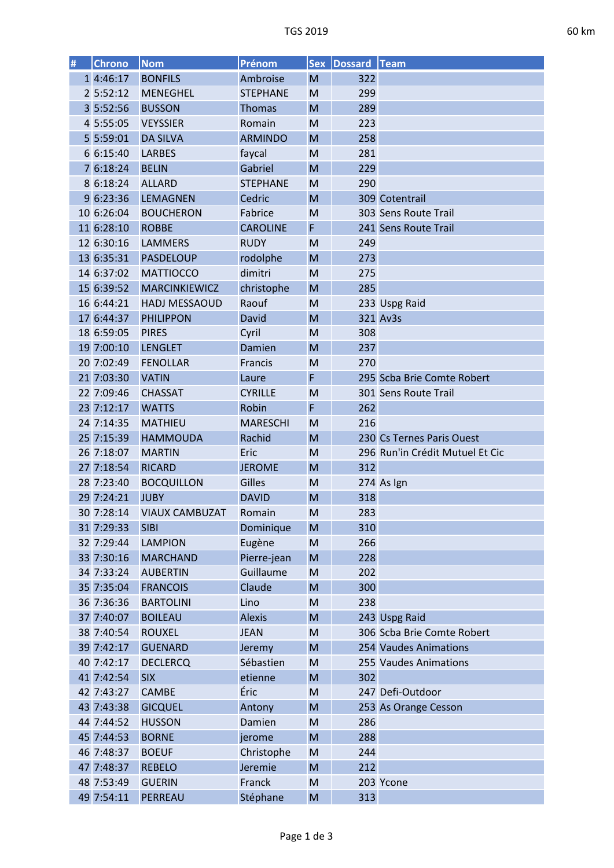| # | Chrono     | <b>Nom</b>            | Prénom          | <b>Sex</b> | Dossard Team |                                 |
|---|------------|-----------------------|-----------------|------------|--------------|---------------------------------|
|   | 1 4:46:17  | <b>BONFILS</b>        | Ambroise        | M          | 322          |                                 |
|   | 2 5:52:12  | <b>MENEGHEL</b>       | <b>STEPHANE</b> | M          | 299          |                                 |
|   | 3 5:52:56  | <b>BUSSON</b>         | Thomas          | M          | 289          |                                 |
|   | 4 5:55:05  | <b>VEYSSIER</b>       | Romain          | M          | 223          |                                 |
|   | 5 5:59:01  | <b>DA SILVA</b>       | <b>ARMINDO</b>  | M          | 258          |                                 |
|   | 6 6:15:40  | <b>LARBES</b>         | faycal          | M          | 281          |                                 |
|   | 7 6:18:24  | <b>BELIN</b>          | Gabriel         | M          | 229          |                                 |
|   | 8 6:18:24  | <b>ALLARD</b>         | <b>STEPHANE</b> | M          | 290          |                                 |
|   | 9 6:23:36  | <b>LEMAGNEN</b>       | Cedric          | M          |              | 309 Cotentrail                  |
|   | 10 6:26:04 | <b>BOUCHERON</b>      | Fabrice         | M          |              | 303 Sens Route Trail            |
|   | 11 6:28:10 | <b>ROBBE</b>          | <b>CAROLINE</b> | F          |              | 241 Sens Route Trail            |
|   | 12 6:30:16 | <b>LAMMERS</b>        | <b>RUDY</b>     | M          | 249          |                                 |
|   | 13 6:35:31 | <b>PASDELOUP</b>      | rodolphe        | M          | 273          |                                 |
|   | 14 6:37:02 | <b>MATTIOCCO</b>      | dimitri         | M          | 275          |                                 |
|   | 15 6:39:52 | <b>MARCINKIEWICZ</b>  | christophe      | M          | 285          |                                 |
|   | 16 6:44:21 | HADJ MESSAOUD         | Raouf           | M          |              | 233 Uspg Raid                   |
|   | 17 6:44:37 | <b>PHILIPPON</b>      | David           | M          |              | 321 Av3s                        |
|   | 18 6:59:05 | <b>PIRES</b>          | Cyril           | M          | 308          |                                 |
|   | 19 7:00:10 | <b>LENGLET</b>        | Damien          | M          | 237          |                                 |
|   | 20 7:02:49 | <b>FENOLLAR</b>       | Francis         | M          | 270          |                                 |
|   | 21 7:03:30 | <b>VATIN</b>          | Laure           | F          |              | 295 Scba Brie Comte Robert      |
|   | 22 7:09:46 | <b>CHASSAT</b>        | <b>CYRILLE</b>  | M          |              | 301 Sens Route Trail            |
|   | 23 7:12:17 | <b>WATTS</b>          | Robin           | F          | 262          |                                 |
|   | 24 7:14:35 | <b>MATHIEU</b>        | <b>MARESCHI</b> | M          | 216          |                                 |
|   | 25 7:15:39 | <b>HAMMOUDA</b>       | Rachid          | M          |              | 230 Cs Ternes Paris Ouest       |
|   | 26 7:18:07 | <b>MARTIN</b>         | Eric            | M          |              | 296 Run'in Crédit Mutuel Et Cic |
|   | 27 7:18:54 | <b>RICARD</b>         | <b>JEROME</b>   | M          | 312          |                                 |
|   | 28 7:23:40 | <b>BOCQUILLON</b>     | Gilles          | M          |              | 274 As Ign                      |
|   | 29 7:24:21 | <b>JUBY</b>           | <b>DAVID</b>    | M          | 318          |                                 |
|   | 30 7:28:14 | <b>VIAUX CAMBUZAT</b> | Romain          | M          | 283          |                                 |
|   | 31 7:29:33 | <b>SIBI</b>           | Dominique       | M          | 310          |                                 |
|   | 32 7:29:44 | <b>LAMPION</b>        | Eugène          | M          | 266          |                                 |
|   | 33 7:30:16 | <b>MARCHAND</b>       | Pierre-jean     | M          | 228          |                                 |
|   | 34 7:33:24 | <b>AUBERTIN</b>       | Guillaume       | M          | 202          |                                 |
|   | 35 7:35:04 | <b>FRANCOIS</b>       | Claude          | M          | 300          |                                 |
|   | 36 7:36:36 | <b>BARTOLINI</b>      | Lino            | M          | 238          |                                 |
|   | 37 7:40:07 | <b>BOILEAU</b>        | <b>Alexis</b>   | M          |              | 243 Uspg Raid                   |
|   | 38 7:40:54 | <b>ROUXEL</b>         | <b>JEAN</b>     | M          |              | 306 Scba Brie Comte Robert      |
|   | 39 7:42:17 | <b>GUENARD</b>        | Jeremy          | M          |              | 254 Vaudes Animations           |
|   | 40 7:42:17 | <b>DECLERCQ</b>       | Sébastien       | M          |              | 255 Vaudes Animations           |
|   | 41 7:42:54 | <b>SIX</b>            | etienne         | M          | 302          |                                 |
|   | 42 7:43:27 | <b>CAMBE</b>          | Éric            | M          |              | 247 Defi-Outdoor                |
|   | 43 7:43:38 | <b>GICQUEL</b>        | Antony          | M          |              | 253 As Orange Cesson            |
|   | 44 7:44:52 | <b>HUSSON</b>         | Damien          | M          | 286          |                                 |
|   | 45 7:44:53 | <b>BORNE</b>          | jerome          | M          | 288          |                                 |
|   | 46 7:48:37 | <b>BOEUF</b>          | Christophe      | M          | 244          |                                 |
|   | 47 7:48:37 | <b>REBELO</b>         | Jeremie         | M          | 212          |                                 |
|   | 48 7:53:49 | <b>GUERIN</b>         | Franck          | M          |              | 203 Ycone                       |
|   | 49 7:54:11 | PERREAU               | Stéphane        | M          | 313          |                                 |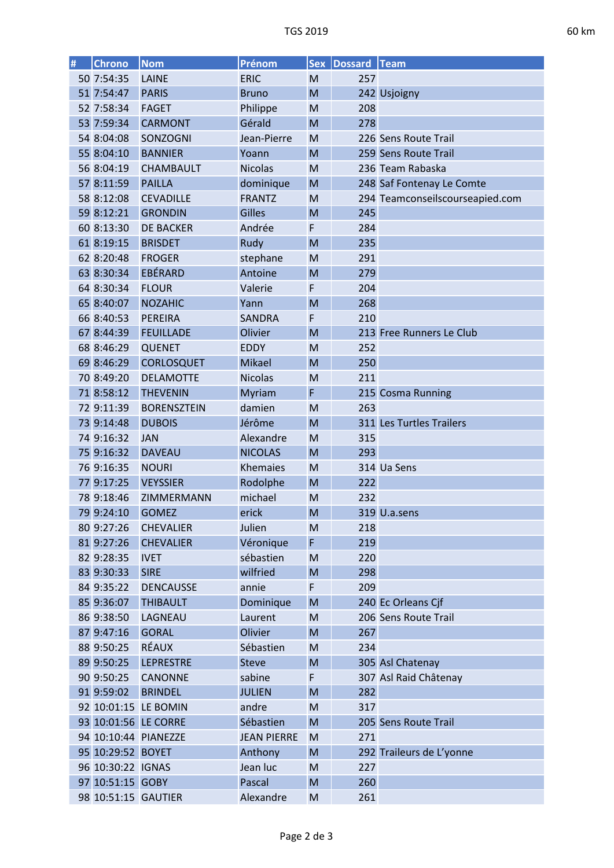| ֖֖֖֖֚֚֚֚֚֚֚֚֚֚֚֚֚֚֚֚֚֚֚֚֡֝֡֡֡֡֡֡֡֡֡֡֡֬֝ |
|-----------------------------------------|
|                                         |

| # | <b>Chrono</b>       | <b>Nom</b>           | Prénom             | <b>Sex</b>                                                                                                 | <b>Dossard Team</b> |                                 |
|---|---------------------|----------------------|--------------------|------------------------------------------------------------------------------------------------------------|---------------------|---------------------------------|
|   | 50 7:54:35          | LAINE                | <b>ERIC</b>        | M                                                                                                          | 257                 |                                 |
|   | 51 7:54:47          | <b>PARIS</b>         | <b>Bruno</b>       | M                                                                                                          |                     | 242 Usjoigny                    |
|   | 52 7:58:34          | <b>FAGET</b>         | Philippe           | M                                                                                                          | 208                 |                                 |
|   | 53 7:59:34          | <b>CARMONT</b>       | Gérald             | M                                                                                                          | 278                 |                                 |
|   | 54 8:04:08          | SONZOGNI             | Jean-Pierre        | M                                                                                                          |                     | 226 Sens Route Trail            |
|   | 55 8:04:10          | <b>BANNIER</b>       | Yoann              | M                                                                                                          |                     | 259 Sens Route Trail            |
|   | 56 8:04:19          | <b>CHAMBAULT</b>     | <b>Nicolas</b>     | M                                                                                                          |                     | 236 Team Rabaska                |
|   | 57 8:11:59          | <b>PAILLA</b>        | dominique          | M                                                                                                          |                     | 248 Saf Fontenay Le Comte       |
|   | 58 8:12:08          | <b>CEVADILLE</b>     | <b>FRANTZ</b>      | M                                                                                                          |                     | 294 Teamconseilscourseapied.com |
|   | 59 8:12:21          | <b>GRONDIN</b>       | <b>Gilles</b>      | M                                                                                                          | 245                 |                                 |
|   | 60 8:13:30          | <b>DE BACKER</b>     | Andrée             | F                                                                                                          | 284                 |                                 |
|   | 61 8:19:15          | <b>BRISDET</b>       | Rudy               | M                                                                                                          | 235                 |                                 |
|   | 62 8:20:48          | <b>FROGER</b>        | stephane           | M                                                                                                          | 291                 |                                 |
|   | 63 8:30:34          | EBÉRARD              | Antoine            | M                                                                                                          | 279                 |                                 |
|   | 64 8:30:34          | <b>FLOUR</b>         | Valerie            | F                                                                                                          | 204                 |                                 |
|   | 65 8:40:07          | <b>NOZAHIC</b>       | Yann               | M                                                                                                          | 268                 |                                 |
|   | 66 8:40:53          | <b>PEREIRA</b>       | <b>SANDRA</b>      | F                                                                                                          | 210                 |                                 |
|   | 67 8:44:39          | <b>FEUILLADE</b>     | Olivier            | M                                                                                                          |                     | 213 Free Runners Le Club        |
|   | 68 8:46:29          | <b>QUENET</b>        | <b>EDDY</b>        | M                                                                                                          | 252                 |                                 |
|   | 69 8:46:29          | <b>CORLOSQUET</b>    | Mikael             | M                                                                                                          | 250                 |                                 |
|   | 70 8:49:20          | <b>DELAMOTTE</b>     | <b>Nicolas</b>     | M                                                                                                          | 211                 |                                 |
|   | 71 8:58:12          | <b>THEVENIN</b>      | Myriam             | F                                                                                                          |                     | 215 Cosma Running               |
|   | 72 9:11:39          | <b>BORENSZTEIN</b>   | damien             | M                                                                                                          | 263                 |                                 |
|   | 73 9:14:48          | <b>DUBOIS</b>        | Jérôme             | M                                                                                                          |                     | 311 Les Turtles Trailers        |
|   | 74 9:16:32          | <b>JAN</b>           | Alexandre          | M                                                                                                          | 315                 |                                 |
|   | 75 9:16:32          | <b>DAVEAU</b>        | <b>NICOLAS</b>     | M                                                                                                          | 293                 |                                 |
|   | 76 9:16:35          | <b>NOURI</b>         | Khemaies           | M                                                                                                          |                     | 314 Ua Sens                     |
|   | 77 9:17:25          | <b>VEYSSIER</b>      | Rodolphe           | M                                                                                                          | 222                 |                                 |
|   | 78 9:18:46          | ZIMMERMANN           | michael            | M                                                                                                          | 232                 |                                 |
|   | 79 9:24:10          | <b>GOMEZ</b>         | erick              | M                                                                                                          |                     | 319 U.a.sens                    |
|   | 80 9:27:26          | <b>CHEVALIER</b>     | Julien             | M                                                                                                          | 218                 |                                 |
|   | 81 9:27:26          | <b>CHEVALIER</b>     | Véronique          | F                                                                                                          | 219                 |                                 |
|   | 82 9:28:35          | <b>IVET</b>          | sébastien          | M                                                                                                          | 220                 |                                 |
|   | 83 9:30:33          | <b>SIRE</b>          | wilfried           | M                                                                                                          | 298                 |                                 |
|   | 84 9:35:22          | <b>DENCAUSSE</b>     | annie              | F                                                                                                          | 209                 |                                 |
|   | 85 9:36:07          | <b>THIBAULT</b>      | Dominique          | $\mathsf{M}% _{T}=\mathsf{M}_{T}\!\left( a,b\right) ,\ \mathsf{M}_{T}=\mathsf{M}_{T}\!\left( a,b\right) ,$ |                     | 240 Ec Orleans Cjf              |
|   | 86 9:38:50          | LAGNEAU              | Laurent            | M                                                                                                          |                     | 206 Sens Route Trail            |
|   | 87 9:47:16          | <b>GORAL</b>         | Olivier            | ${\sf M}$                                                                                                  | 267                 |                                 |
|   | 88 9:50:25          | <b>RÉAUX</b>         | Sébastien          | M                                                                                                          | 234                 |                                 |
|   | 89 9:50:25          | <b>LEPRESTRE</b>     | <b>Steve</b>       | $\mathsf{M}% _{T}=\mathsf{M}_{T}\!\left( a,b\right) ,\ \mathsf{M}_{T}=\mathsf{M}_{T}\!\left( a,b\right) ,$ |                     | 305 Asl Chatenay                |
|   | 90 9:50:25          | <b>CANONNE</b>       | sabine             | F                                                                                                          |                     | 307 Asl Raid Châtenay           |
|   | 91 9:59:02          | <b>BRINDEL</b>       | <b>JULIEN</b>      | M                                                                                                          | 282                 |                                 |
|   |                     | 92 10:01:15 LE BOMIN | andre              | M                                                                                                          | 317                 |                                 |
|   |                     | 93 10:01:56 LE CORRE | Sébastien          | M                                                                                                          |                     | 205 Sens Route Trail            |
|   |                     | 94 10:10:44 PIANEZZE | <b>JEAN PIERRE</b> | M                                                                                                          | 271                 |                                 |
|   | 95 10:29:52 BOYET   |                      | Anthony            | ${\sf M}$                                                                                                  |                     | 292 Traileurs de L'yonne        |
|   | 96 10:30:22 IGNAS   |                      | Jean luc           | M                                                                                                          | 227                 |                                 |
|   | 97 10:51:15 GOBY    |                      | Pascal             | M                                                                                                          | 260                 |                                 |
|   | 98 10:51:15 GAUTIER |                      | Alexandre          | M                                                                                                          | 261                 |                                 |